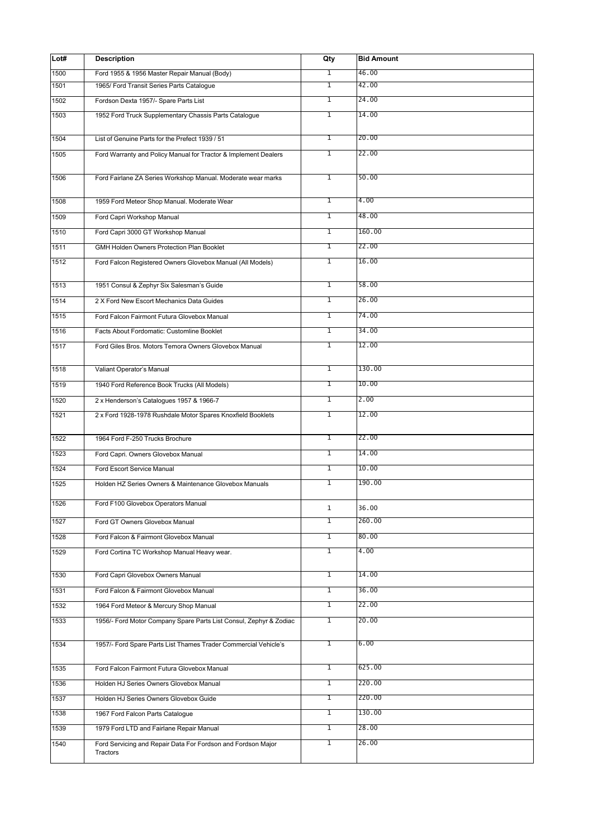| Lot# | <b>Description</b>                                                       | Qty            | <b>Bid Amount</b> |
|------|--------------------------------------------------------------------------|----------------|-------------------|
| 1500 | Ford 1955 & 1956 Master Repair Manual (Body)                             | $\mathbf{1}$   | 46.00             |
| 1501 | 1965/ Ford Transit Series Parts Cataloque                                | T              | 42.00             |
| 1502 | Fordson Dexta 1957/- Spare Parts List                                    | $\overline{1}$ | 24.00             |
| 1503 | 1952 Ford Truck Supplementary Chassis Parts Cataloque                    | $\overline{1}$ | 14.00             |
| 1504 | List of Genuine Parts for the Prefect 1939 / 51                          | $\overline{1}$ | 20.00             |
| 1505 | Ford Warranty and Policy Manual for Tractor & Implement Dealers          | T              | 22.00             |
| 1506 | Ford Fairlane ZA Series Workshop Manual. Moderate wear marks             | $\overline{1}$ | 50.00             |
| 1508 | 1959 Ford Meteor Shop Manual. Moderate Wear                              | $\overline{1}$ | 4.00              |
| 1509 | Ford Capri Workshop Manual                                               | T              | 48.00             |
| 1510 | Ford Capri 3000 GT Workshop Manual                                       | T              | 160.00            |
| 1511 | GMH Holden Owners Protection Plan Booklet                                | $\overline{1}$ | 22.00             |
| 1512 | Ford Falcon Registered Owners Glovebox Manual (All Models)               | $\overline{1}$ | 16.00             |
| 1513 | 1951 Consul & Zephyr Six Salesman's Guide                                | $\overline{1}$ | 58.00             |
| 1514 | 2 X Ford New Escort Mechanics Data Guides                                | T              | 26.00             |
| 1515 | Ford Falcon Fairmont Futura Glovebox Manual                              | T              | 74.00             |
| 1516 | Facts About Fordomatic: Customline Booklet                               | T              | 34.00             |
| 1517 | Ford Giles Bros. Motors Temora Owners Glovebox Manual                    | $\overline{1}$ | 12.00             |
| 1518 | Valiant Operator's Manual                                                | $\overline{1}$ | 130.00            |
| 1519 | 1940 Ford Reference Book Trucks (All Models)                             | T              | 10.00             |
| 1520 | 2 x Henderson's Catalogues 1957 & 1966-7                                 | $\overline{1}$ | 2.00              |
| 1521 | 2 x Ford 1928-1978 Rushdale Motor Spares Knoxfield Booklets              | $\overline{1}$ | 12.00             |
|      |                                                                          |                |                   |
| 1522 | 1964 Ford F-250 Trucks Brochure                                          | 1              | 22.00             |
| 1523 | Ford Capri. Owners Glovebox Manual                                       | $\overline{1}$ | 14.00<br>10.00    |
| 1524 | Ford Escort Service Manual                                               | T              |                   |
| 1525 | Holden HZ Series Owners & Maintenance Glovebox Manuals                   | 1              | 190.00            |
| 1526 | Ford F100 Glovebox Operators Manual                                      | $\mathbf{1}$   | 36.00             |
| 1527 | Ford GT Owners Glovebox Manual                                           | 1              | 260.00            |
| 1528 | Ford Falcon & Fairmont Glovebox Manual                                   | $\overline{1}$ | 80.00             |
| 1529 | Ford Cortina TC Workshop Manual Heavy wear.                              | $\overline{1}$ | 4.00              |
| 1530 | Ford Capri Glovebox Owners Manual                                        | T              | 14.00             |
| 1531 | Ford Falcon & Fairmont Glovebox Manual                                   | $\overline{1}$ | 36.00             |
| 1532 | 1964 Ford Meteor & Mercury Shop Manual                                   | $\overline{1}$ | 22.00             |
| 1533 | 1956/- Ford Motor Company Spare Parts List Consul, Zephyr & Zodiac       | $\overline{1}$ | 20.00             |
| 1534 | 1957/- Ford Spare Parts List Thames Trader Commercial Vehicle's          | $\mathbf{1}$   | 6.00              |
| 1535 | Ford Falcon Fairmont Futura Glovebox Manual                              | 1              | 625.00            |
| 1536 | Holden HJ Series Owners Glovebox Manual                                  | $\overline{1}$ | 220.00            |
| 1537 | Holden HJ Series Owners Glovebox Guide                                   | T              | 220.00            |
| 1538 | 1967 Ford Falcon Parts Catalogue                                         | T              | 130.00            |
| 1539 | 1979 Ford LTD and Fairlane Repair Manual                                 | $\overline{1}$ | 28.00             |
| 1540 | Ford Servicing and Repair Data For Fordson and Fordson Major<br>Tractors | $\overline{1}$ | 26.00             |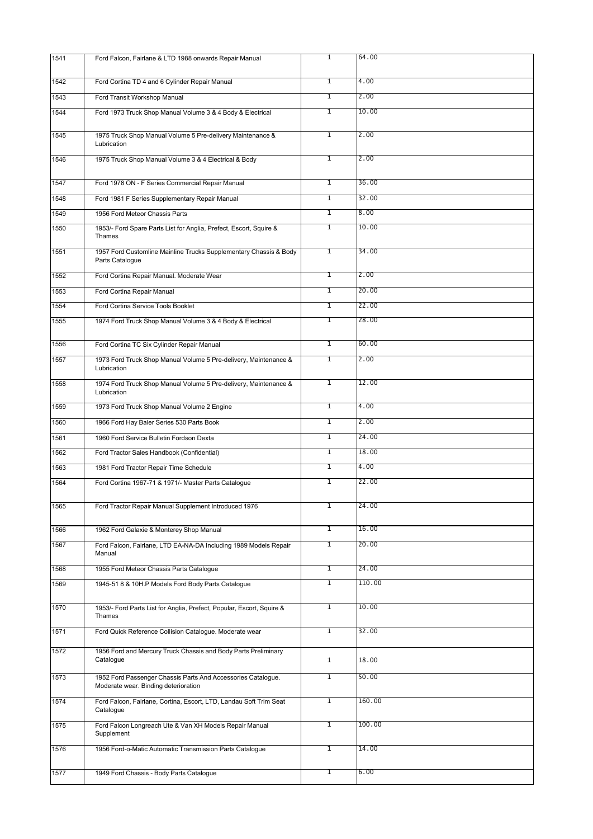| 1541 | Ford Falcon, Fairlane & LTD 1988 onwards Repair Manual                                               | $\overline{1}$ | 64.00  |
|------|------------------------------------------------------------------------------------------------------|----------------|--------|
| 1542 | Ford Cortina TD 4 and 6 Cylinder Repair Manual                                                       | T              | 4.00   |
| 1543 | Ford Transit Workshop Manual                                                                         | T              | 2.00   |
| 1544 | Ford 1973 Truck Shop Manual Volume 3 & 4 Body & Electrical                                           | T              | 10.00  |
| 1545 | 1975 Truck Shop Manual Volume 5 Pre-delivery Maintenance &<br>Lubrication                            | $\overline{1}$ | 2.00   |
| 1546 | 1975 Truck Shop Manual Volume 3 & 4 Electrical & Body                                                | $\overline{1}$ | 2.00   |
| 1547 | Ford 1978 ON - F Series Commercial Repair Manual                                                     | $\overline{1}$ | 36.00  |
| 1548 | Ford 1981 F Series Supplementary Repair Manual                                                       | $\overline{1}$ | 32.00  |
| 1549 | 1956 Ford Meteor Chassis Parts                                                                       | T              | 8.00   |
| 1550 | 1953/- Ford Spare Parts List for Anglia, Prefect, Escort, Squire &                                   | $\overline{1}$ | 10.00  |
|      | Thames                                                                                               |                |        |
| 1551 | 1957 Ford Customline Mainline Trucks Supplementary Chassis & Body<br>Parts Catalogue                 | $\overline{1}$ | 34.00  |
| 1552 | Ford Cortina Repair Manual. Moderate Wear                                                            | $\overline{1}$ | 2.00   |
| 1553 | Ford Cortina Repair Manual                                                                           | T              | 20.00  |
| 1554 | Ford Cortina Service Tools Booklet                                                                   | $\overline{1}$ | 22.00  |
| 1555 | 1974 Ford Truck Shop Manual Volume 3 & 4 Body & Electrical                                           | $\overline{1}$ | 28.00  |
| 1556 | Ford Cortina TC Six Cylinder Repair Manual                                                           | $\overline{1}$ | 60.00  |
| 1557 | 1973 Ford Truck Shop Manual Volume 5 Pre-delivery, Maintenance &<br>Lubrication                      | T              | 2.00   |
| 1558 | 1974 Ford Truck Shop Manual Volume 5 Pre-delivery, Maintenance &<br>Lubrication                      | T              | 12.00  |
| 1559 | 1973 Ford Truck Shop Manual Volume 2 Engine                                                          | $\overline{1}$ | 4.00   |
| 1560 | 1966 Ford Hay Baler Series 530 Parts Book                                                            | $\overline{1}$ | 2.00   |
| 1561 | 1960 Ford Service Bulletin Fordson Dexta                                                             | T              | 24.00  |
| 1562 | Ford Tractor Sales Handbook (Confidential)                                                           | T              | 18.00  |
| 1563 | 1981 Ford Tractor Repair Time Schedule                                                               | $\overline{1}$ | 4.00   |
| 1564 | Ford Cortina 1967-71 & 1971/- Master Parts Catalogue                                                 | $\overline{1}$ | 22.00  |
| 1565 | Ford Tractor Repair Manual Supplement Introduced 1976                                                | $\overline{1}$ | 24.00  |
| 1566 | 1962 Ford Galaxie & Monterey Shop Manual                                                             | T              | 16.00  |
| 1567 | Ford Falcon, Fairlane, LTD EA-NA-DA Including 1989 Models Repair<br>Manual                           | $\overline{1}$ | 20.00  |
| 1568 | 1955 Ford Meteor Chassis Parts Catalogue                                                             | T              | 24.00  |
| 1569 | 1945-51 8 & 10H.P Models Ford Body Parts Catalogue                                                   | T              | 110.00 |
| 1570 | 1953/- Ford Parts List for Anglia, Prefect, Popular, Escort, Squire &<br>Thames                      | $\overline{1}$ | 10.00  |
| 1571 | Ford Quick Reference Collision Catalogue. Moderate wear                                              | $\overline{1}$ | 32.00  |
| 1572 | 1956 Ford and Mercury Truck Chassis and Body Parts Preliminary<br>Catalogue                          | $\mathbf{1}$   | 18.00  |
| 1573 | 1952 Ford Passenger Chassis Parts And Accessories Catalogue.<br>Moderate wear. Binding deterioration | 1              | 50.00  |
| 1574 | Ford Falcon, Fairlane, Cortina, Escort, LTD, Landau Soft Trim Seat<br>Catalogue                      | 1              | 160.00 |
| 1575 | Ford Falcon Longreach Ute & Van XH Models Repair Manual<br>Supplement                                | 1              | 100.00 |
| 1576 | 1956 Ford-o-Matic Automatic Transmission Parts Catalogue                                             | 1              | 14.00  |
| 1577 | 1949 Ford Chassis - Body Parts Catalogue                                                             | 1              | 6.00   |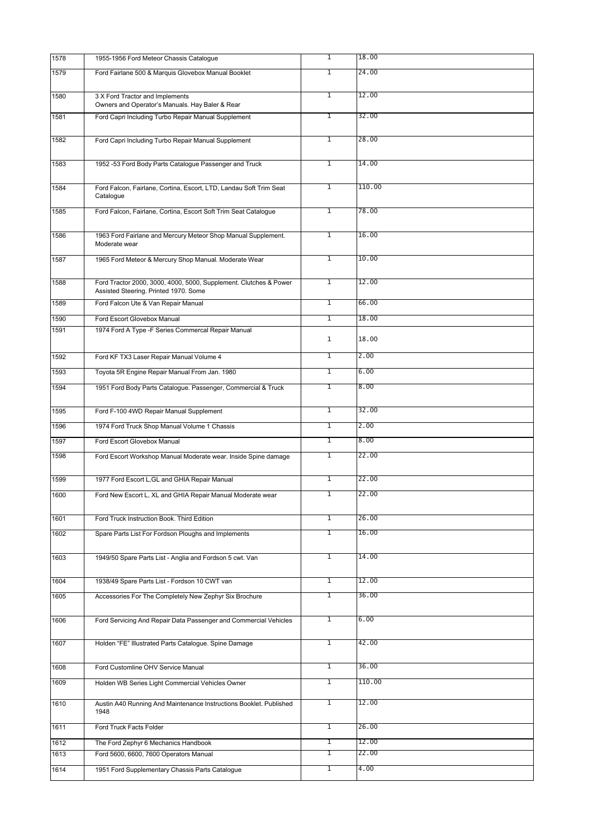| 1578 | 1955-1956 Ford Meteor Chassis Catalogue                                                                    | $\overline{1}$ | 18.00  |
|------|------------------------------------------------------------------------------------------------------------|----------------|--------|
| 1579 | Ford Fairlane 500 & Marquis Glovebox Manual Booklet                                                        | T              | 24.00  |
| 1580 | 3 X Ford Tractor and Implements<br>Owners and Operator's Manuals. Hay Baler & Rear                         | $\mathbf{1}$   | 12.00  |
| 1581 | Ford Capri Including Turbo Repair Manual Supplement                                                        | T              | 32.00  |
| 1582 | Ford Capri Including Turbo Repair Manual Supplement                                                        | T              | 28.00  |
| 1583 | 1952 -53 Ford Body Parts Catalogue Passenger and Truck                                                     | T              | 14.00  |
| 1584 | Ford Falcon, Fairlane, Cortina, Escort, LTD, Landau Soft Trim Seat<br>Catalogue                            | $\mathbf{1}$   | 110.00 |
| 1585 | Ford Falcon, Fairlane, Cortina, Escort Soft Trim Seat Catalogue                                            | $\overline{1}$ | 78.00  |
| 1586 | 1963 Ford Fairlane and Mercury Meteor Shop Manual Supplement.<br>Moderate wear                             | $\overline{1}$ | 16.00  |
| 1587 | 1965 Ford Meteor & Mercury Shop Manual. Moderate Wear                                                      | $\overline{1}$ | 10.00  |
| 1588 | Ford Tractor 2000, 3000, 4000, 5000, Supplement. Clutches & Power<br>Assisted Steering. Printed 1970. Some | T              | 12.00  |
| 1589 | Ford Falcon Ute & Van Repair Manual                                                                        | T              | 66.00  |
| 1590 | Ford Escort Glovebox Manual                                                                                | $\mathbf{1}$   | 18.00  |
| 1591 | 1974 Ford A Type -F Series Commercal Repair Manual                                                         | $\mathbf{1}$   | 18.00  |
| 1592 | Ford KF TX3 Laser Repair Manual Volume 4                                                                   | $\mathbf{1}$   | 2.00   |
| 1593 | Toyota 5R Engine Repair Manual From Jan. 1980                                                              | T              | 6.00   |
| 1594 | 1951 Ford Body Parts Catalogue. Passenger, Commercial & Truck                                              | T              | 8.00   |
| 1595 | Ford F-100 4WD Repair Manual Supplement                                                                    | $\overline{1}$ | 32.00  |
| 1596 | 1974 Ford Truck Shop Manual Volume 1 Chassis                                                               | T              | 2.00   |
| 1597 | Ford Escort Glovebox Manual                                                                                | $\mathbf{1}$   | 8.00   |
| 1598 | Ford Escort Workshop Manual Moderate wear. Inside Spine damage                                             | T              | 22.00  |
| 1599 | 1977 Ford Escort L, GL and GHIA Repair Manual                                                              | $\overline{1}$ | 22.00  |
| 1600 | Ford New Escort L, XL and GHIA Repair Manual Moderate wear                                                 | T              | 22.00  |
|      |                                                                                                            |                |        |
| 1601 | Ford Truck Instruction Book. Third Edition                                                                 | $\mathbf{1}$   | 26.00  |
| 1602 | Spare Parts List For Fordson Ploughs and Implements                                                        | T              | 16.00  |
| 1603 | 1949/50 Spare Parts List - Anglia and Fordson 5 cwt. Van                                                   | $\overline{1}$ | 14.00  |
| 1604 | 1938/49 Spare Parts List - Fordson 10 CWT van                                                              | T              | 12.00  |
| 1605 | Accessories For The Completely New Zephyr Six Brochure                                                     | 1              | 36.00  |
| 1606 | Ford Servicing And Repair Data Passenger and Commercial Vehicles                                           | T              | 6.00   |
| 1607 | Holden "FE" Illustrated Parts Catalogue. Spine Damage                                                      | $\overline{1}$ | 42.00  |
| 1608 | Ford Customline OHV Service Manual                                                                         | 1              | 36.00  |
| 1609 | Holden WB Series Light Commercial Vehicles Owner                                                           | $\overline{1}$ | 110.00 |
| 1610 | Austin A40 Running And Maintenance Instructions Booklet. Published<br>1948                                 | T              | 12.00  |
| 1611 | Ford Truck Facts Folder                                                                                    | T              | 26.00  |
| 1612 | The Ford Zephyr 6 Mechanics Handbook                                                                       | T              | 12.00  |
| 1613 | Ford 5600, 6600, 7600 Operators Manual                                                                     | $\mathbf{1}$   | 22.00  |
| 1614 | 1951 Ford Supplementary Chassis Parts Catalogue                                                            | T              | 4.00   |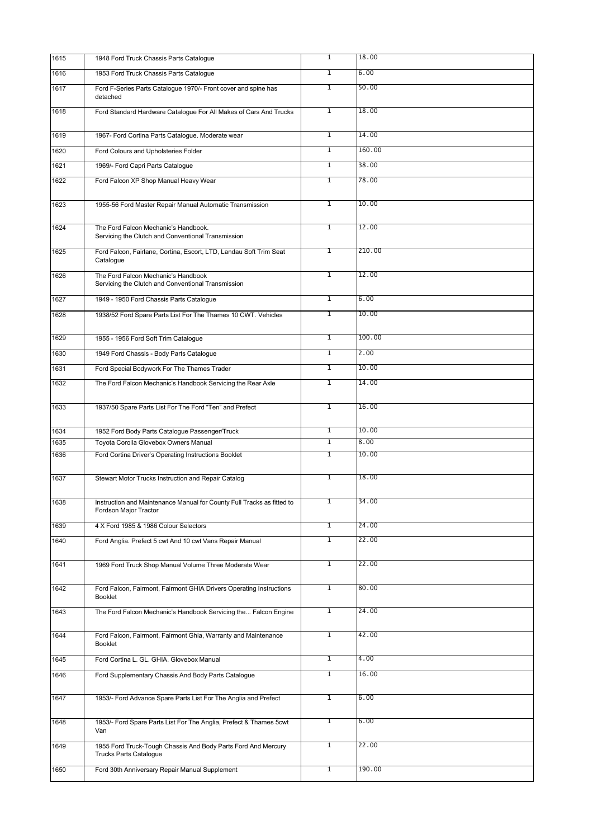| 1615 | 1948 Ford Truck Chassis Parts Cataloque                                                         | $\overline{1}$ | 18.00  |
|------|-------------------------------------------------------------------------------------------------|----------------|--------|
| 1616 | 1953 Ford Truck Chassis Parts Catalogue                                                         | $\overline{1}$ | 6.00   |
| 1617 | Ford F-Series Parts Catalogue 1970/- Front cover and spine has<br>detached                      | $\overline{1}$ | 50.00  |
| 1618 | Ford Standard Hardware Catalogue For All Makes of Cars And Trucks                               | $\overline{1}$ | 18.00  |
| 1619 | 1967- Ford Cortina Parts Catalogue. Moderate wear                                               | $\overline{1}$ | 14.00  |
| 1620 | Ford Colours and Upholsteries Folder                                                            | $\overline{1}$ | 160.00 |
| 1621 | 1969/- Ford Capri Parts Catalogue                                                               | $\overline{1}$ | 38.00  |
| 1622 | Ford Falcon XP Shop Manual Heavy Wear                                                           | T              | 78.00  |
| 1623 | 1955-56 Ford Master Repair Manual Automatic Transmission                                        | T              | 10.00  |
| 1624 | The Ford Falcon Mechanic's Handbook.                                                            | T              | 12.00  |
|      | Servicing the Clutch and Conventional Transmission                                              |                |        |
| 1625 | Ford Falcon, Fairlane, Cortina, Escort, LTD, Landau Soft Trim Seat<br>Catalogue                 | $\overline{1}$ | 210.00 |
| 1626 | The Ford Falcon Mechanic's Handbook<br>Servicing the Clutch and Conventional Transmission       | $\overline{1}$ | 12.00  |
| 1627 | 1949 - 1950 Ford Chassis Parts Catalogue                                                        | $\overline{1}$ | 6.00   |
| 1628 | 1938/52 Ford Spare Parts List For The Thames 10 CWT. Vehicles                                   | $\overline{1}$ | 10.00  |
| 1629 | 1955 - 1956 Ford Soft Trim Catalogue                                                            | $\overline{1}$ | 100.00 |
| 1630 | 1949 Ford Chassis - Body Parts Catalogue                                                        | T              | 2.00   |
| 1631 | Ford Special Bodywork For The Thames Trader                                                     | T              | 10.00  |
| 1632 | The Ford Falcon Mechanic's Handbook Servicing the Rear Axle                                     | T              | 14.00  |
| 1633 | 1937/50 Spare Parts List For The Ford "Ten" and Prefect                                         | $\overline{1}$ | 16.00  |
| 1634 | 1952 Ford Body Parts Catalogue Passenger/Truck                                                  | T              | 10.00  |
| 1635 | Toyota Corolla Glovebox Owners Manual                                                           | 1              | 8.00   |
| 1636 | Ford Cortina Driver's Operating Instructions Booklet                                            | T              | 10.00  |
| 1637 | Stewart Motor Trucks Instruction and Repair Catalog                                             | $\overline{1}$ | 18.00  |
| 1638 | Instruction and Maintenance Manual for County Full Tracks as fitted to<br>Fordson Major Tractor | 1              | 34.00  |
| 1639 | 4 X Ford 1985 & 1986 Colour Selectors                                                           | 1              | 24.00  |
| 1640 | Ford Anglia. Prefect 5 cwt And 10 cwt Vans Repair Manual                                        | $\overline{1}$ | 22.00  |
| 1641 | 1969 Ford Truck Shop Manual Volume Three Moderate Wear                                          | $\overline{1}$ | 22.00  |
| 1642 | Ford Falcon, Fairmont, Fairmont GHIA Drivers Operating Instructions<br><b>Booklet</b>           | $\overline{1}$ | 80.00  |
| 1643 | The Ford Falcon Mechanic's Handbook Servicing the Falcon Engine                                 | $\overline{1}$ | 24.00  |
| 1644 | Ford Falcon, Fairmont, Fairmont Ghia, Warranty and Maintenance<br><b>Booklet</b>                | $\mathbf{1}$   | 42.00  |
| 1645 | Ford Cortina L. GL. GHIA. Glovebox Manual                                                       | $\mathbf{1}$   | 4.00   |
| 1646 | Ford Supplementary Chassis And Body Parts Catalogue                                             | 1              | 16.00  |
| 1647 | 1953/- Ford Advance Spare Parts List For The Anglia and Prefect                                 | $\mathbf{1}$   | 6.00   |
| 1648 | 1953/- Ford Spare Parts List For The Anglia, Prefect & Thames 5cwt<br>Van                       | 1              | 6.00   |
| 1649 | 1955 Ford Truck-Tough Chassis And Body Parts Ford And Mercury<br><b>Trucks Parts Catalogue</b>  | 1              | 22.00  |
| 1650 | Ford 30th Anniversary Repair Manual Supplement                                                  | $\overline{1}$ | 190.00 |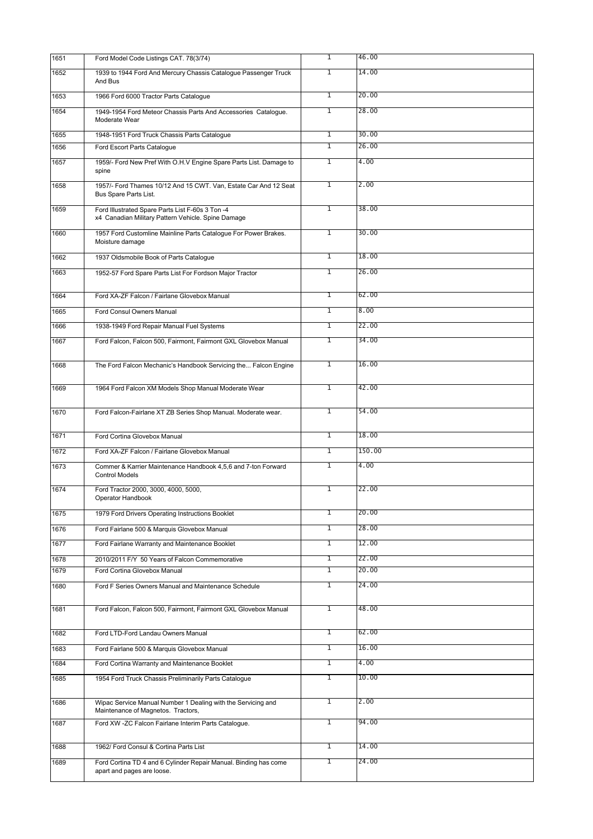| 1651 | Ford Model Code Listings CAT. 78(3/74)                                                                 | $\overline{1}$ | 46.00  |
|------|--------------------------------------------------------------------------------------------------------|----------------|--------|
| 1652 | 1939 to 1944 Ford And Mercury Chassis Catalogue Passenger Truck<br>And Bus                             | 1              | 14.00  |
| 1653 | 1966 Ford 6000 Tractor Parts Catalogue                                                                 | T              | 20.00  |
| 1654 | 1949-1954 Ford Meteor Chassis Parts And Accessories Catalogue.<br>Moderate Wear                        | $\overline{1}$ | 28.00  |
| 1655 | 1948-1951 Ford Truck Chassis Parts Catalogue                                                           | T              | 30.00  |
| 1656 | Ford Escort Parts Catalogue                                                                            | T              | 26.00  |
| 1657 | 1959/- Ford New Pref With O.H.V Engine Spare Parts List. Damage to<br>spine                            | 1              | 4.00   |
| 1658 | 1957/- Ford Thames 10/12 And 15 CWT. Van, Estate Car And 12 Seat<br>Bus Spare Parts List.              | T              | 2.00   |
| 1659 | Ford Illustrated Spare Parts List F-60s 3 Ton -4<br>x4 Canadian Military Pattern Vehicle. Spine Damage | $\overline{1}$ | 38.00  |
| 1660 | 1957 Ford Customline Mainline Parts Catalogue For Power Brakes.<br>Moisture damage                     | $\overline{1}$ | 30.00  |
| 1662 | 1937 Oldsmobile Book of Parts Catalogue                                                                | $\overline{1}$ | 18.00  |
| 1663 | 1952-57 Ford Spare Parts List For Fordson Major Tractor                                                | 1              | 26.00  |
| 1664 | Ford XA-ZF Falcon / Fairlane Glovebox Manual                                                           | $\overline{1}$ | 62.00  |
| 1665 | Ford Consul Owners Manual                                                                              | $\overline{1}$ | 8.00   |
| 1666 | 1938-1949 Ford Repair Manual Fuel Systems                                                              | T              | 22.00  |
| 1667 | Ford Falcon, Falcon 500, Fairmont, Fairmont GXL Glovebox Manual                                        | $\overline{1}$ | 34.00  |
| 1668 | The Ford Falcon Mechanic's Handbook Servicing the Falcon Engine                                        | T              | 16.00  |
| 1669 | 1964 Ford Falcon XM Models Shop Manual Moderate Wear                                                   | $\mathbf{1}$   | 42.00  |
| 1670 | Ford Falcon-Fairlane XT ZB Series Shop Manual. Moderate wear.                                          | $\mathbf{1}$   | 54.00  |
| 1671 | Ford Cortina Glovebox Manual                                                                           | $\mathbf{1}$   | 18.00  |
| 1672 | Ford XA-ZF Falcon / Fairlane Glovebox Manual                                                           | $\overline{1}$ | 150.00 |
| 1673 | Commer & Karrier Maintenance Handbook 4,5,6 and 7-ton Forward<br><b>Control Models</b>                 | $\overline{1}$ | 4.00   |
| 1674 | Ford Tractor 2000, 3000, 4000, 5000,<br>Operator Handbook                                              | 1              | 22.00  |
| 1675 | 1979 Ford Drivers Operating Instructions Booklet                                                       | $\overline{1}$ | 20.00  |
| 1676 | Ford Fairlane 500 & Marquis Glovebox Manual                                                            | T              | 28.00  |
| 1677 | Ford Fairlane Warranty and Maintenance Booklet                                                         | T              | 12.00  |
| 1678 | 2010/2011 F/Y 50 Years of Falcon Commemorative                                                         | $\overline{1}$ | 22.00  |
| 1679 | Ford Cortina Glovebox Manual                                                                           | $\overline{1}$ | 20.00  |
| 1680 | Ford F Series Owners Manual and Maintenance Schedule                                                   | 1              | 24.00  |
| 1681 | Ford Falcon, Falcon 500, Fairmont, Fairmont GXL Glovebox Manual                                        | $\overline{1}$ | 48.00  |
| 1682 | Ford LTD-Ford Landau Owners Manual                                                                     | 1              | 62.00  |
| 1683 | Ford Fairlane 500 & Marquis Glovebox Manual                                                            | $\overline{1}$ | 16.00  |
| 1684 | Ford Cortina Warranty and Maintenance Booklet                                                          | $\overline{1}$ | 4.00   |
| 1685 | 1954 Ford Truck Chassis Preliminarily Parts Catalogue                                                  | $\overline{1}$ | 10.00  |
| 1686 | Wipac Service Manual Number 1 Dealing with the Servicing and<br>Maintenance of Magnetos. Tractors,     | 1              | 2.00   |
| 1687 | Ford XW -ZC Falcon Fairlane Interim Parts Catalogue.                                                   | $\overline{1}$ | 94.00  |
| 1688 | 1962/ Ford Consul & Cortina Parts List                                                                 | $\overline{1}$ | 14.00  |
| 1689 | Ford Cortina TD 4 and 6 Cylinder Repair Manual. Binding has come<br>apart and pages are loose.         | T              | 24.00  |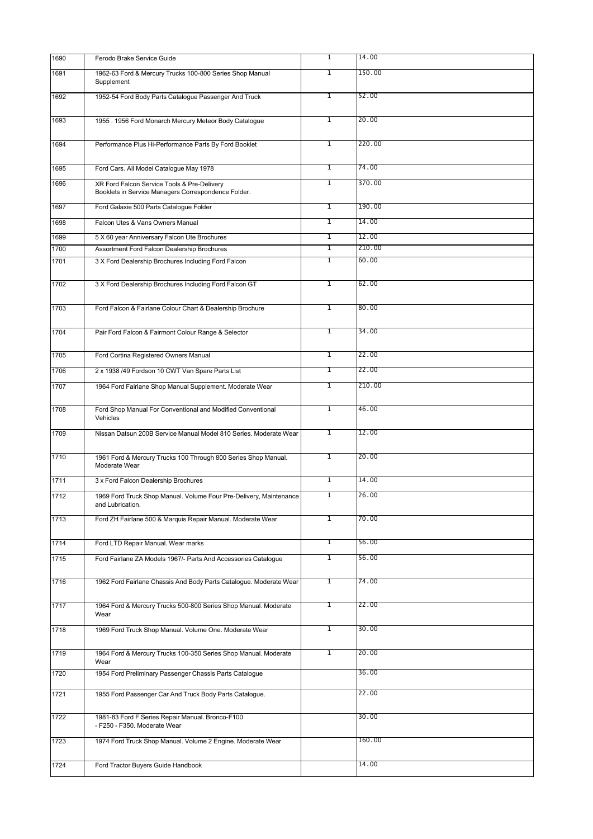| 1690 | Ferodo Brake Service Guide                                                                         | $\overline{1}$ | 14.00  |
|------|----------------------------------------------------------------------------------------------------|----------------|--------|
| 1691 | 1962-63 Ford & Mercury Trucks 100-800 Series Shop Manual<br>Supplement                             | $\overline{1}$ | 150.00 |
| 1692 | 1952-54 Ford Body Parts Catalogue Passenger And Truck                                              | T              | 52.00  |
| 1693 | 1955 . 1956 Ford Monarch Mercury Meteor Body Catalogue                                             | $\mathbf{1}$   | 20.00  |
| 1694 | Performance Plus Hi-Performance Parts By Ford Booklet                                              | $\mathbf{1}$   | 220.00 |
| 1695 | Ford Cars. All Model Catalogue May 1978                                                            | $\mathbf{1}$   | 74.00  |
| 1696 | XR Ford Falcon Service Tools & Pre-Delivery<br>Booklets in Service Managers Correspondence Folder. | T              | 370.00 |
| 1697 | Ford Galaxie 500 Parts Catalogue Folder                                                            | $\mathbf{1}$   | 190.00 |
| 1698 | Falcon Utes & Vans Owners Manual                                                                   | T              | 14.00  |
| 1699 | 5 X 60 year Anniversary Falcon Ute Brochures                                                       | $\overline{1}$ | 12.00  |
| 1700 | Assortment Ford Falcon Dealership Brochures                                                        | $\mathbf{1}$   | 210.00 |
| 1701 | 3 X Ford Dealership Brochures Including Ford Falcon                                                | T              | 60.00  |
| 1702 | 3 X Ford Dealership Brochures Including Ford Falcon GT                                             | $\overline{1}$ | 62.00  |
| 1703 | Ford Falcon & Fairlane Colour Chart & Dealership Brochure                                          | $\overline{1}$ | 80.00  |
| 1704 | Pair Ford Falcon & Fairmont Colour Range & Selector                                                | 1              | 34.00  |
| 1705 | Ford Cortina Registered Owners Manual                                                              | $\overline{1}$ | 22.00  |
| 1706 | 2 x 1938 /49 Fordson 10 CWT Van Spare Parts List                                                   | T              | 22.00  |
| 1707 | 1964 Ford Fairlane Shop Manual Supplement. Moderate Wear                                           | $\overline{1}$ | 210.00 |
| 1708 | Ford Shop Manual For Conventional and Modified Conventional<br>Vehicles                            | T              | 46.00  |
| 1709 | Nissan Datsun 200B Service Manual Model 810 Series. Moderate Wear                                  | $\overline{1}$ | 12.00  |
| 1710 | 1961 Ford & Mercury Trucks 100 Through 800 Series Shop Manual.<br>Moderate Wear                    | $\overline{1}$ | 20.00  |
| 1711 | 3 x Ford Falcon Dealership Brochures                                                               | 1              | 14.00  |
| 1712 | 1969 Ford Truck Shop Manual. Volume Four Pre-Delivery, Maintenance<br>and Lubrication.             | 1              | 26.00  |
| 1713 | Ford ZH Fairlane 500 & Marquis Repair Manual. Moderate Wear                                        | 1              | 70.00  |
| 1714 | Ford LTD Repair Manual. Wear marks                                                                 | 1              | 56.00  |
| 1715 | Ford Fairlane ZA Models 1967/- Parts And Accessories Catalogue                                     | $\overline{1}$ | 56.00  |
| 1716 | 1962 Ford Fairlane Chassis And Body Parts Catalogue. Moderate Wear                                 | 1              | 74.00  |
| 1717 | 1964 Ford & Mercury Trucks 500-800 Series Shop Manual. Moderate<br>Wear                            | 1              | 22.00  |
| 1718 | 1969 Ford Truck Shop Manual. Volume One. Moderate Wear                                             | 1              | 30.00  |
| 1719 | 1964 Ford & Mercury Trucks 100-350 Series Shop Manual. Moderate<br>Wear                            | 1              | 20.00  |
| 1720 | 1954 Ford Preliminary Passenger Chassis Parts Catalogue                                            |                | 36.00  |
| 1721 | 1955 Ford Passenger Car And Truck Body Parts Catalogue.                                            |                | 22.00  |
| 1722 | 1981-83 Ford F Series Repair Manual. Bronco-F100<br>- F250 - F350. Moderate Wear                   |                | 30.00  |
| 1723 | 1974 Ford Truck Shop Manual. Volume 2 Engine. Moderate Wear                                        |                | 160.00 |
| 1724 | Ford Tractor Buyers Guide Handbook                                                                 |                | 14.00  |